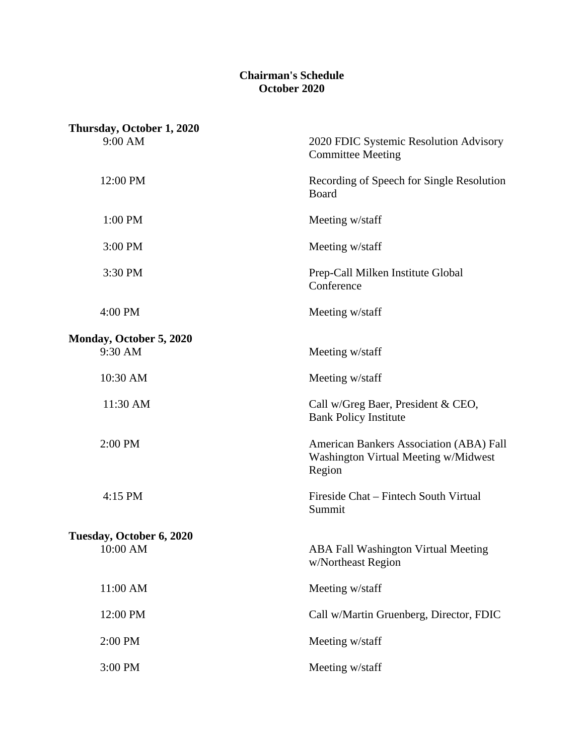## **Chairman's Schedule October 2020**

| Thursday, October 1, 2020          |                                                                                           |
|------------------------------------|-------------------------------------------------------------------------------------------|
| 9:00 AM                            | 2020 FDIC Systemic Resolution Advisory<br><b>Committee Meeting</b>                        |
| 12:00 PM                           | Recording of Speech for Single Resolution<br>Board                                        |
| 1:00 PM                            | Meeting w/staff                                                                           |
| 3:00 PM                            | Meeting w/staff                                                                           |
| 3:30 PM                            | Prep-Call Milken Institute Global<br>Conference                                           |
| 4:00 PM                            | Meeting w/staff                                                                           |
| Monday, October 5, 2020<br>9:30 AM | Meeting w/staff                                                                           |
| 10:30 AM                           | Meeting w/staff                                                                           |
| 11:30 AM                           | Call w/Greg Baer, President & CEO,<br><b>Bank Policy Institute</b>                        |
| 2:00 PM                            | American Bankers Association (ABA) Fall<br>Washington Virtual Meeting w/Midwest<br>Region |
| 4:15 PM                            | Fireside Chat – Fintech South Virtual<br>Summit                                           |
| Tuesday, October 6, 2020           |                                                                                           |
| $10:00$ AM                         | <b>ABA Fall Washington Virtual Meeting</b><br>w/Northeast Region                          |
| 11:00 AM                           | Meeting w/staff                                                                           |
| 12:00 PM                           | Call w/Martin Gruenberg, Director, FDIC                                                   |
| 2:00 PM                            | Meeting w/staff                                                                           |
| 3:00 PM                            | Meeting w/staff                                                                           |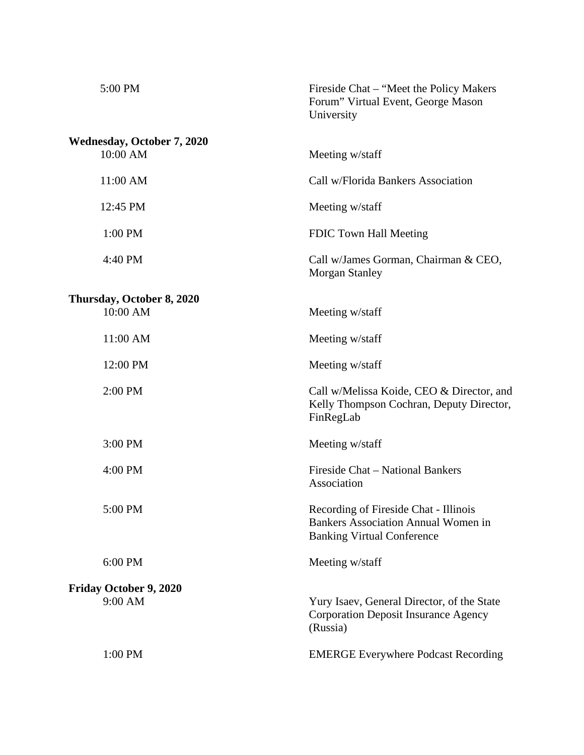| 5:00 PM                                       | Fireside Chat – "Meet the Policy Makers"<br>Forum" Virtual Event, George Mason<br>University                             |
|-----------------------------------------------|--------------------------------------------------------------------------------------------------------------------------|
| <b>Wednesday, October 7, 2020</b><br>10:00 AM | Meeting w/staff                                                                                                          |
| 11:00 AM                                      | Call w/Florida Bankers Association                                                                                       |
| 12:45 PM                                      | Meeting w/staff                                                                                                          |
| 1:00 PM                                       | FDIC Town Hall Meeting                                                                                                   |
| 4:40 PM                                       | Call w/James Gorman, Chairman & CEO,<br><b>Morgan Stanley</b>                                                            |
| Thursday, October 8, 2020                     |                                                                                                                          |
| 10:00 AM                                      | Meeting w/staff                                                                                                          |
| 11:00 AM                                      | Meeting w/staff                                                                                                          |
| 12:00 PM                                      | Meeting w/staff                                                                                                          |
| 2:00 PM                                       | Call w/Melissa Koide, CEO & Director, and<br>Kelly Thompson Cochran, Deputy Director,<br>FinRegLab                       |
| 3:00 PM                                       | Meeting w/staff                                                                                                          |
| 4:00 PM                                       | Fireside Chat - National Bankers<br>Association                                                                          |
| 5:00 PM                                       | Recording of Fireside Chat - Illinois<br><b>Bankers Association Annual Women in</b><br><b>Banking Virtual Conference</b> |
| 6:00 PM                                       | Meeting w/staff                                                                                                          |
| Friday October 9, 2020                        |                                                                                                                          |
| 9:00 AM                                       | Yury Isaev, General Director, of the State<br><b>Corporation Deposit Insurance Agency</b><br>(Russia)                    |
| 1:00 PM                                       | <b>EMERGE Everywhere Podcast Recording</b>                                                                               |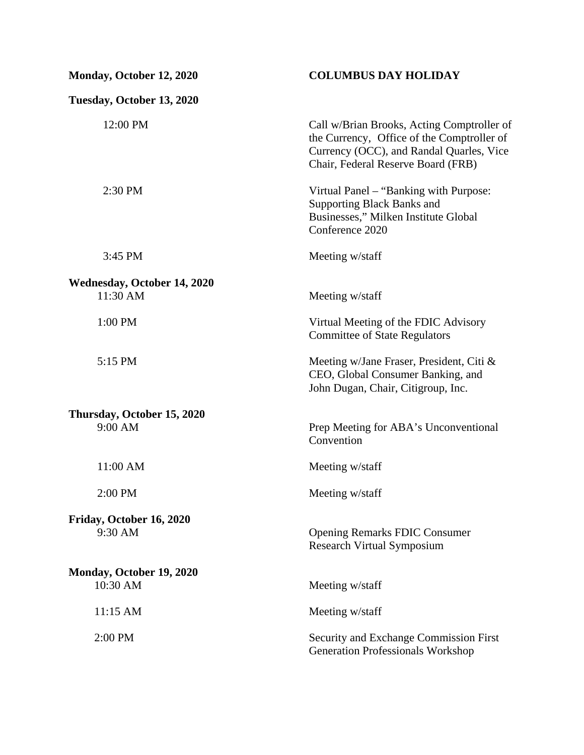| Monday, October 12, 2020                | <b>COLUMBUS DAY HOLIDAY</b>                                                                                                                                                |
|-----------------------------------------|----------------------------------------------------------------------------------------------------------------------------------------------------------------------------|
| Tuesday, October 13, 2020               |                                                                                                                                                                            |
| 12:00 PM                                | Call w/Brian Brooks, Acting Comptroller of<br>the Currency, Office of the Comptroller of<br>Currency (OCC), and Randal Quarles, Vice<br>Chair, Federal Reserve Board (FRB) |
| 2:30 PM                                 | Virtual Panel – "Banking with Purpose:<br><b>Supporting Black Banks and</b><br>Businesses," Milken Institute Global<br>Conference 2020                                     |
| 3:45 PM                                 | Meeting w/staff                                                                                                                                                            |
| Wednesday, October 14, 2020<br>11:30 AM | Meeting w/staff                                                                                                                                                            |
| 1:00 PM                                 | Virtual Meeting of the FDIC Advisory<br><b>Committee of State Regulators</b>                                                                                               |
| 5:15 PM                                 | Meeting w/Jane Fraser, President, Citi &<br>CEO, Global Consumer Banking, and<br>John Dugan, Chair, Citigroup, Inc.                                                        |
| Thursday, October 15, 2020<br>9:00 AM   | Prep Meeting for ABA's Unconventional<br>Convention                                                                                                                        |
| 11:00 AM                                | Meeting w/staff                                                                                                                                                            |
| 2:00 PM                                 | Meeting w/staff                                                                                                                                                            |
| Friday, October 16, 2020<br>9:30 AM     | <b>Opening Remarks FDIC Consumer</b><br><b>Research Virtual Symposium</b>                                                                                                  |
| Monday, October 19, 2020<br>10:30 AM    | Meeting w/staff                                                                                                                                                            |
| 11:15 AM                                | Meeting w/staff                                                                                                                                                            |
| 2:00 PM                                 | Security and Exchange Commission First<br><b>Generation Professionals Workshop</b>                                                                                         |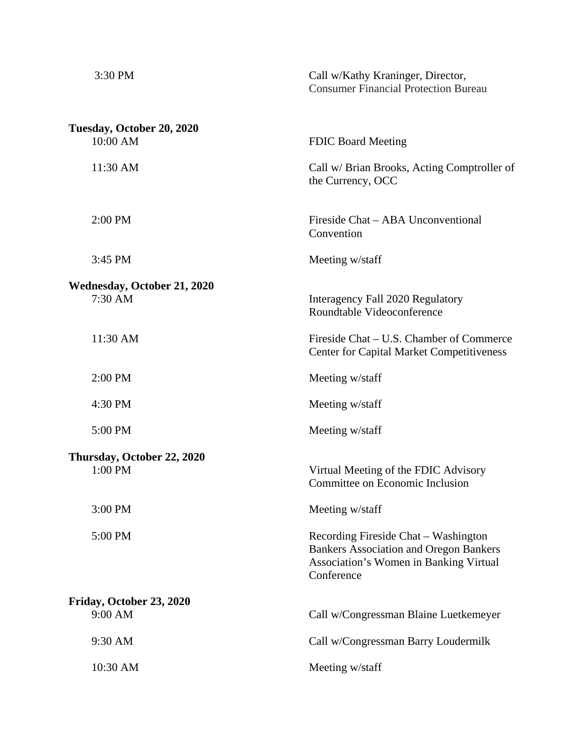| 3:30 PM                                       | Call w/Kathy Kraninger, Director,<br><b>Consumer Financial Protection Bureau</b>                                                              |
|-----------------------------------------------|-----------------------------------------------------------------------------------------------------------------------------------------------|
| Tuesday, October 20, 2020<br>10:00 AM         | <b>FDIC Board Meeting</b>                                                                                                                     |
| 11:30 AM                                      | Call w/ Brian Brooks, Acting Comptroller of<br>the Currency, OCC                                                                              |
| 2:00 PM                                       | Fireside Chat - ABA Unconventional<br>Convention                                                                                              |
| 3:45 PM                                       | Meeting w/staff                                                                                                                               |
| <b>Wednesday, October 21, 2020</b><br>7:30 AM | Interagency Fall 2020 Regulatory<br>Roundtable Videoconference                                                                                |
| 11:30 AM                                      | Fireside Chat – U.S. Chamber of Commerce<br><b>Center for Capital Market Competitiveness</b>                                                  |
| 2:00 PM                                       | Meeting w/staff                                                                                                                               |
| 4:30 PM                                       | Meeting w/staff                                                                                                                               |
| 5:00 PM                                       | Meeting w/staff                                                                                                                               |
| Thursday, October 22, 2020<br>1:00 PM         | Virtual Meeting of the FDIC Advisory<br>Committee on Economic Inclusion                                                                       |
| 3:00 PM                                       | Meeting w/staff                                                                                                                               |
| 5:00 PM                                       | Recording Fireside Chat – Washington<br><b>Bankers Association and Oregon Bankers</b><br>Association's Women in Banking Virtual<br>Conference |
| Friday, October 23, 2020<br>9:00 AM           | Call w/Congressman Blaine Luetkemeyer                                                                                                         |
| 9:30 AM                                       | Call w/Congressman Barry Loudermilk                                                                                                           |
| 10:30 AM                                      | Meeting w/staff                                                                                                                               |
|                                               |                                                                                                                                               |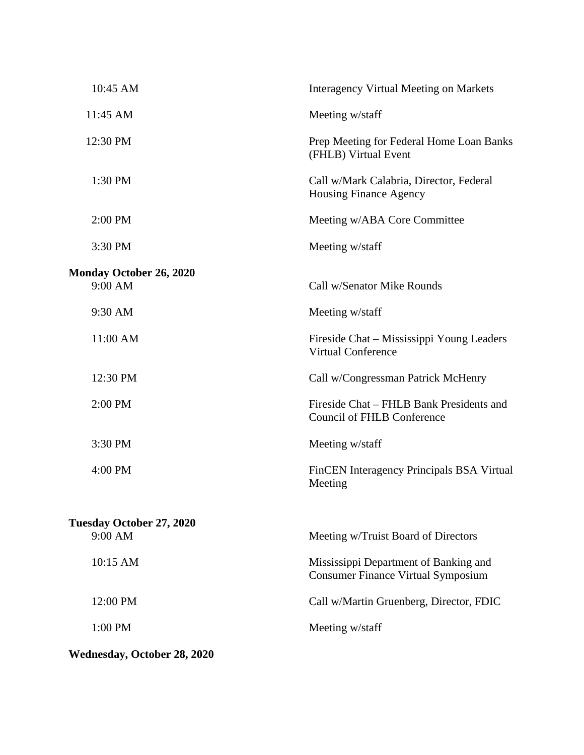| 10:45 AM                        | <b>Interagency Virtual Meeting on Markets</b>                                      |
|---------------------------------|------------------------------------------------------------------------------------|
| 11:45 AM                        | Meeting w/staff                                                                    |
| 12:30 PM                        | Prep Meeting for Federal Home Loan Banks<br>(FHLB) Virtual Event                   |
| 1:30 PM                         | Call w/Mark Calabria, Director, Federal<br><b>Housing Finance Agency</b>           |
| 2:00 PM                         | Meeting w/ABA Core Committee                                                       |
| 3:30 PM                         | Meeting w/staff                                                                    |
| Monday October 26, 2020         |                                                                                    |
| 9:00 AM                         | Call w/Senator Mike Rounds                                                         |
| 9:30 AM                         | Meeting w/staff                                                                    |
| 11:00 AM                        | Fireside Chat – Mississippi Young Leaders<br><b>Virtual Conference</b>             |
| 12:30 PM                        | Call w/Congressman Patrick McHenry                                                 |
| 2:00 PM                         | Fireside Chat – FHLB Bank Presidents and<br><b>Council of FHLB Conference</b>      |
| 3:30 PM                         | Meeting w/staff                                                                    |
| 4:00 PM                         | FinCEN Interagency Principals BSA Virtual<br>Meeting                               |
| <b>Tuesday October 27, 2020</b> |                                                                                    |
| 9:00 AM                         | Meeting w/Truist Board of Directors                                                |
| 10:15 AM                        | Mississippi Department of Banking and<br><b>Consumer Finance Virtual Symposium</b> |
| 12:00 PM                        | Call w/Martin Gruenberg, Director, FDIC                                            |
| 1:00 PM                         | Meeting w/staff                                                                    |
| Wednesday, October 28, 2020     |                                                                                    |